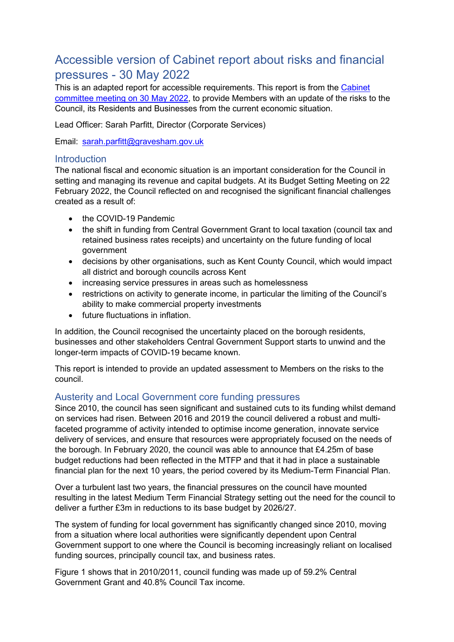# Accessible version of Cabinet report about risks and financial pressures - 30 May 2022

This is an adapted report for accessible requirements. This report is from the [Cabinet](https://democracy.gravesham.gov.uk/ieListDocuments.aspx?CId=149&MId=4818&Ver=4) committee [meeting on 30 May 2022,](https://democracy.gravesham.gov.uk/ieListDocuments.aspx?CId=149&MId=4818&Ver=4) to provide Members with an update of the risks to the Council, its Residents and Businesses from the current economic situation.

Lead Officer: Sarah Parfitt, Director (Corporate Services)

Email: [sarah.parfitt@gravesham.gov.uk](mailto:sarah.parfitt@gravesham.gov.uk) 

### **Introduction**

The national fiscal and economic situation is an important consideration for the Council in setting and managing its revenue and capital budgets. At its Budget Setting Meeting on 22 February 2022, the Council reflected on and recognised the significant financial challenges created as a result of:

- the COVID-19 Pandemic
- the shift in funding from Central Government Grant to local taxation (council tax and retained business rates receipts) and uncertainty on the future funding of local government
- decisions by other organisations, such as Kent County Council, which would impact all district and borough councils across Kent
- increasing service pressures in areas such as homelessness
- restrictions on activity to generate income, in particular the limiting of the Council's ability to make commercial property investments
- future fluctuations in inflation.

In addition, the Council recognised the uncertainty placed on the borough residents, businesses and other stakeholders Central Government Support starts to unwind and the longer-term impacts of COVID-19 became known.

This report is intended to provide an updated assessment to Members on the risks to the council.

# Austerity and Local Government core funding pressures

Since 2010, the council has seen significant and sustained cuts to its funding whilst demand on services had risen. Between 2016 and 2019 the council delivered a robust and multifaceted programme of activity intended to optimise income generation, innovate service delivery of services, and ensure that resources were appropriately focused on the needs of the borough. In February 2020, the council was able to announce that £4.25m of base budget reductions had been reflected in the MTFP and that it had in place a sustainable financial plan for the next 10 years, the period covered by its Medium-Term Financial Plan.

Over a turbulent last two years, the financial pressures on the council have mounted resulting in the latest Medium Term Financial Strategy setting out the need for the council to deliver a further £3m in reductions to its base budget by 2026/27.

The system of funding for local government has significantly changed since 2010, moving from a situation where local authorities were significantly dependent upon Central Government support to one where the Council is becoming increasingly reliant on localised funding sources, principally council tax, and business rates.

Figure 1 shows that in 2010/2011, council funding was made up of 59.2% Central Government Grant and 40.8% Council Tax income.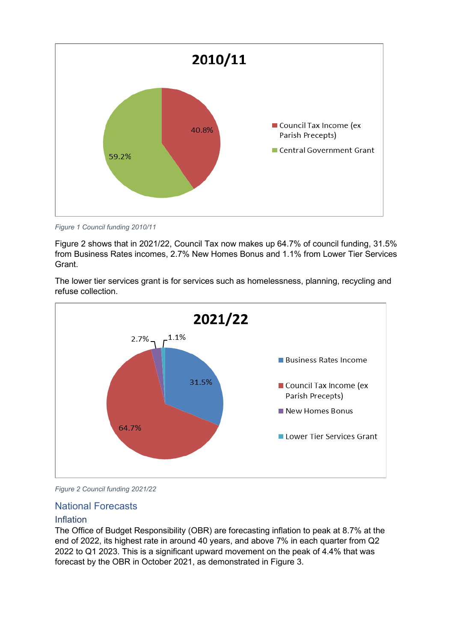

*Figure 1 Council funding 2010/11*

Figure 2 shows that in 2021/22, Council Tax now makes up 64.7% of council funding, 31.5% from Business Rates incomes, 2.7% New Homes Bonus and 1.1% from Lower Tier Services Grant.

The lower tier services grant is for services such as homelessness, planning, recycling and refuse collection.



*Figure 2 Council funding 2021/22*

### National Forecasts

### Inflation

The Office of Budget Responsibility (OBR) are forecasting inflation to peak at 8.7% at the end of 2022, its highest rate in around 40 years, and above 7% in each quarter from Q2 2022 to Q1 2023. This is a significant upward movement on the peak of 4.4% that was forecast by the OBR in October 2021, as demonstrated in Figure 3.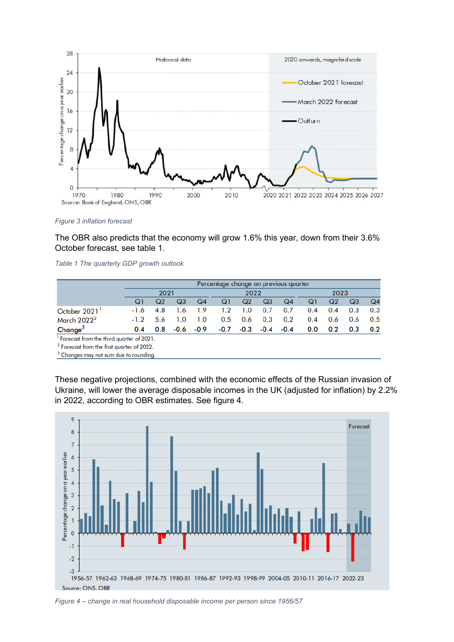

#### *Figure 3 inflation forecast*

The OBR also predicts that the economy will grow 1.6% this year, down from their 3.6% October forecast, see table 1.

|  |  | Table 1 The quarterly GDP growth outlook |  |  |  |
|--|--|------------------------------------------|--|--|--|
|--|--|------------------------------------------|--|--|--|

|                                                       |        | Percentage change on previous quarter |      |        |        |        |        |        |      |     |     |     |
|-------------------------------------------------------|--------|---------------------------------------|------|--------|--------|--------|--------|--------|------|-----|-----|-----|
|                                                       |        | 2021                                  |      |        |        | 2022   |        |        | 2023 |     |     |     |
|                                                       | QI     | Q2                                    | Q3   | Q4     | Q1     | Q2     | Q3     | Q4     | Q1   | Q2  | Q3  | Q4  |
| October 2021                                          | $-1.6$ | 4.8                                   | 1.6  | 1.9    | 1.2    | 1.0    | 0.7    | 0.7    | 0.4  | 0.4 | 0.3 | 0.3 |
| March $20222$                                         | $-1.2$ | 5.6                                   | 1.0  | 1.0    | 0.5    | 0.6    | 0.3    | 0.2    | 0.4  | 0.6 | 0.6 | 0.5 |
| Change <sup>3</sup>                                   | 0.4    | 0.8                                   | -0.6 | $-0.9$ | $-0.7$ | $-0.3$ | $-0.4$ | $-0.4$ | 0.0  | 0.2 | 0.3 | 0.2 |
| <sup>1</sup> Forecast from the third quarter of 2021. |        |                                       |      |        |        |        |        |        |      |     |     |     |
| <sup>2</sup> Forecast from the first quarter of 2022. |        |                                       |      |        |        |        |        |        |      |     |     |     |

<sup>3</sup> Changes may not sum due to rounding.

These negative projections, combined with the economic effects of the Russian invasion of Ukraine, will lower the average disposable incomes in the UK (adjusted for inflation) by 2.2% in 2022, according to OBR estimates. See figure 4.



*Figure 4 – change in real household disposable income per person since 1956/57*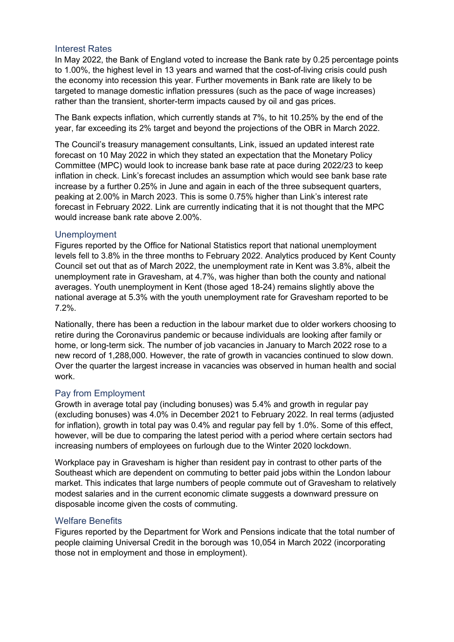### Interest Rates

In May 2022, the Bank of England voted to increase the Bank rate by 0.25 percentage points to 1.00%, the highest level in 13 years and warned that the cost-of-living crisis could push the economy into recession this year. Further movements in Bank rate are likely to be targeted to manage domestic inflation pressures (such as the pace of wage increases) rather than the transient, shorter-term impacts caused by oil and gas prices.

The Bank expects inflation, which currently stands at 7%, to hit 10.25% by the end of the year, far exceeding its 2% target and beyond the projections of the OBR in March 2022.

The Council's treasury management consultants, Link, issued an updated interest rate forecast on 10 May 2022 in which they stated an expectation that the Monetary Policy Committee (MPC) would look to increase bank base rate at pace during 2022/23 to keep inflation in check. Link's forecast includes an assumption which would see bank base rate increase by a further 0.25% in June and again in each of the three subsequent quarters, peaking at 2.00% in March 2023. This is some 0.75% higher than Link's interest rate forecast in February 2022. Link are currently indicating that it is not thought that the MPC would increase bank rate above 2.00%.

### Unemployment

Figures reported by the Office for National Statistics report that national unemployment levels fell to 3.8% in the three months to February 2022. Analytics produced by Kent County Council set out that as of March 2022, the unemployment rate in Kent was 3.8%, albeit the unemployment rate in Gravesham, at 4.7%, was higher than both the county and national averages. Youth unemployment in Kent (those aged 18-24) remains slightly above the national average at 5.3% with the youth unemployment rate for Gravesham reported to be 7.2%.

Nationally, there has been a reduction in the labour market due to older workers choosing to retire during the Coronavirus pandemic or because individuals are looking after family or home, or long-term sick. The number of job vacancies in January to March 2022 rose to a new record of 1,288,000. However, the rate of growth in vacancies continued to slow down. Over the quarter the largest increase in vacancies was observed in human health and social work.

### Pay from Employment

Growth in average total pay (including bonuses) was 5.4% and growth in regular pay (excluding bonuses) was 4.0% in December 2021 to February 2022. In real terms (adjusted for inflation), growth in total pay was 0.4% and regular pay fell by 1.0%. Some of this effect, however, will be due to comparing the latest period with a period where certain sectors had increasing numbers of employees on furlough due to the Winter 2020 lockdown.

Workplace pay in Gravesham is higher than resident pay in contrast to other parts of the Southeast which are dependent on commuting to better paid jobs within the London labour market. This indicates that large numbers of people commute out of Gravesham to relatively modest salaries and in the current economic climate suggests a downward pressure on disposable income given the costs of commuting.

### Welfare Benefits

Figures reported by the Department for Work and Pensions indicate that the total number of people claiming Universal Credit in the borough was 10,054 in March 2022 (incorporating those not in employment and those in employment).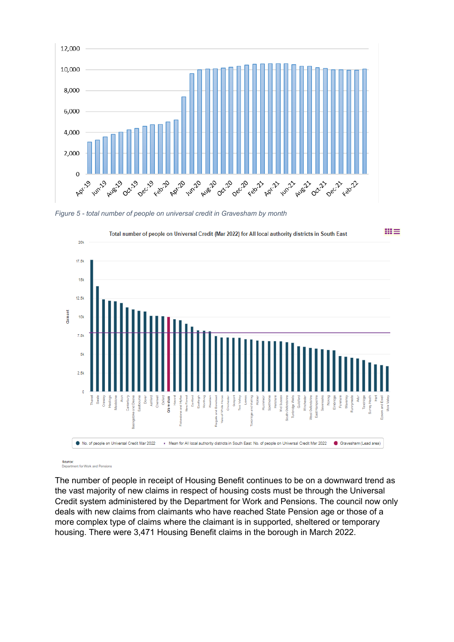

*Figure 5 - total number of people on universal credit in Gravesham by month*



Source:<br>Department for Work and Pensions

The number of people in receipt of Housing Benefit continues to be on a downward trend as the vast majority of new claims in respect of housing costs must be through the Universal Credit system administered by the Department for Work and Pensions. The council now only deals with new claims from claimants who have reached State Pension age or those of a more complex type of claims where the claimant is in supported, sheltered or temporary housing. There were 3,471 Housing Benefit claims in the borough in March 2022.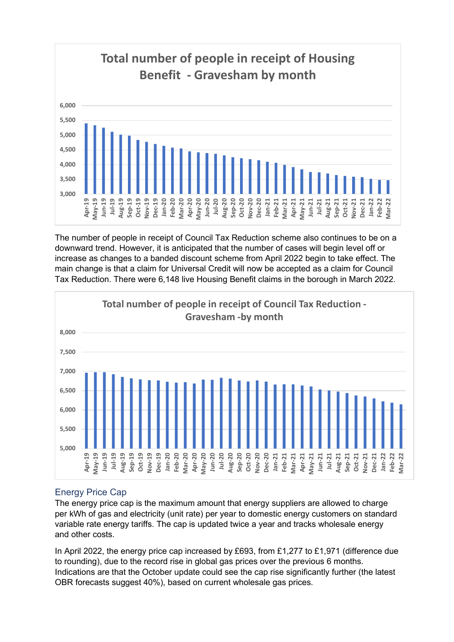

The number of people in receipt of Council Tax Reduction scheme also continues to be on a downward trend. However, it is anticipated that the number of cases will begin level off or increase as changes to a banded discount scheme from April 2022 begin to take effect. The main change is that a claim for Universal Credit will now be accepted as a claim for Council Tax Reduction. There were 6,148 live Housing Benefit claims in the borough in March 2022.



# Energy Price Cap

The energy price cap is the maximum amount that energy suppliers are allowed to charge per kWh of gas and electricity (unit rate) per year to domestic energy customers on standard variable rate energy tariffs. The cap is updated twice a year and tracks wholesale energy and other costs.

In April 2022, the energy price cap increased by £693, from £1,277 to £1,971 (difference due to rounding), due to the record rise in global gas prices over the previous 6 months. Indications are that the October update could see the cap rise significantly further (the latest OBR forecasts suggest 40%), based on current wholesale gas prices.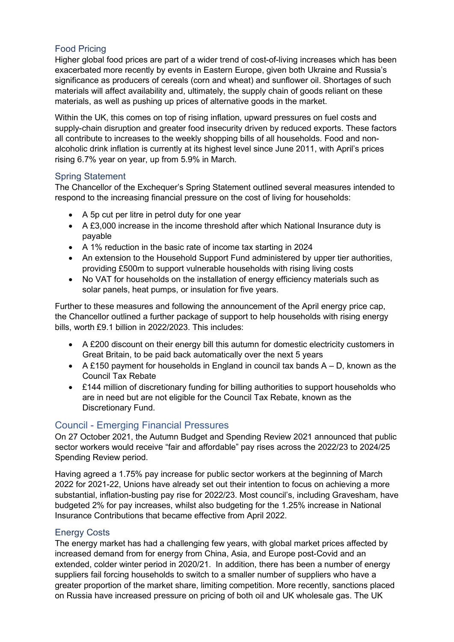# Food Pricing

Higher global food prices are part of a wider trend of cost-of-living increases which has been exacerbated more recently by events in Eastern Europe, given both Ukraine and Russia's significance as producers of cereals (corn and wheat) and sunflower oil. Shortages of such materials will affect availability and, ultimately, the supply chain of goods reliant on these materials, as well as pushing up prices of alternative goods in the market.

Within the UK, this comes on top of rising inflation, upward pressures on fuel costs and supply-chain disruption and greater food insecurity driven by reduced exports. These factors all contribute to increases to the weekly shopping bills of all households. Food and nonalcoholic drink inflation is currently at its highest level since June 2011, with April's prices rising 6.7% year on year, up from 5.9% in March.

# Spring Statement

The Chancellor of the Exchequer's Spring Statement outlined several measures intended to respond to the increasing financial pressure on the cost of living for households:

- A 5p cut per litre in petrol duty for one year
- A £3,000 increase in the income threshold after which National Insurance duty is payable
- A 1% reduction in the basic rate of income tax starting in 2024
- An extension to the Household Support Fund administered by upper tier authorities, providing £500m to support vulnerable households with rising living costs
- No VAT for households on the installation of energy efficiency materials such as solar panels, heat pumps, or insulation for five years.

Further to these measures and following the announcement of the April energy price cap, the Chancellor outlined a further package of support to help households with rising energy bills, worth £9.1 billion in 2022/2023. This includes:

- A £200 discount on their energy bill this autumn for domestic electricity customers in Great Britain, to be paid back automatically over the next 5 years
- A £150 payment for households in England in council tax bands  $A D$ , known as the Council Tax Rebate
- £144 million of discretionary funding for billing authorities to support households who are in need but are not eligible for the Council Tax Rebate, known as the Discretionary Fund.

# Council - Emerging Financial Pressures

On 27 October 2021, the Autumn Budget and Spending Review 2021 announced that public sector workers would receive "fair and affordable" pay rises across the 2022/23 to 2024/25 Spending Review period.

Having agreed a 1.75% pay increase for public sector workers at the beginning of March 2022 for 2021-22, Unions have already set out their intention to focus on achieving a more substantial, inflation-busting pay rise for 2022/23. Most council's, including Gravesham, have budgeted 2% for pay increases, whilst also budgeting for the 1.25% increase in National Insurance Contributions that became effective from April 2022.

# Energy Costs

The energy market has had a challenging few years, with global market prices affected by increased demand from for energy from China, Asia, and Europe post-Covid and an extended, colder winter period in 2020/21. In addition, there has been a number of energy suppliers fail forcing households to switch to a smaller number of suppliers who have a greater proportion of the market share, limiting competition. More recently, sanctions placed on Russia have increased pressure on pricing of both oil and UK wholesale gas. The UK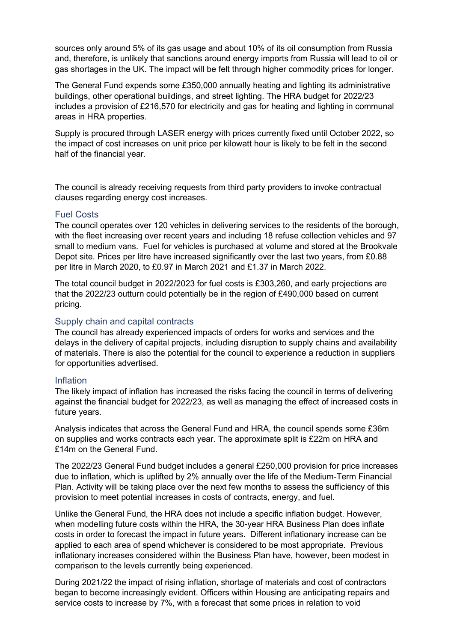sources only around 5% of its gas usage and about 10% of its oil consumption from Russia and, therefore, is unlikely that sanctions around energy imports from Russia will lead to oil or gas shortages in the UK. The impact will be felt through higher commodity prices for longer.

The General Fund expends some £350,000 annually heating and lighting its administrative buildings, other operational buildings, and street lighting. The HRA budget for 2022/23 includes a provision of £216,570 for electricity and gas for heating and lighting in communal areas in HRA properties.

Supply is procured through LASER energy with prices currently fixed until October 2022, so the impact of cost increases on unit price per kilowatt hour is likely to be felt in the second half of the financial year.

The council is already receiving requests from third party providers to invoke contractual clauses regarding energy cost increases.

### Fuel Costs

The council operates over 120 vehicles in delivering services to the residents of the borough, with the fleet increasing over recent years and including 18 refuse collection vehicles and 97 small to medium vans. Fuel for vehicles is purchased at volume and stored at the Brookvale Depot site. Prices per litre have increased significantly over the last two years, from £0.88 per litre in March 2020, to £0.97 in March 2021 and £1.37 in March 2022.

The total council budget in 2022/2023 for fuel costs is £303,260, and early projections are that the 2022/23 outturn could potentially be in the region of £490,000 based on current pricing.

#### Supply chain and capital contracts

The council has already experienced impacts of orders for works and services and the delays in the delivery of capital projects, including disruption to supply chains and availability of materials. There is also the potential for the council to experience a reduction in suppliers for opportunities advertised.

### Inflation

The likely impact of inflation has increased the risks facing the council in terms of delivering against the financial budget for 2022/23, as well as managing the effect of increased costs in future years.

Analysis indicates that across the General Fund and HRA, the council spends some £36m on supplies and works contracts each year. The approximate split is £22m on HRA and £14m on the General Fund.

The 2022/23 General Fund budget includes a general £250,000 provision for price increases due to inflation, which is uplifted by 2% annually over the life of the Medium-Term Financial Plan. Activity will be taking place over the next few months to assess the sufficiency of this provision to meet potential increases in costs of contracts, energy, and fuel.

Unlike the General Fund, the HRA does not include a specific inflation budget. However, when modelling future costs within the HRA, the 30-year HRA Business Plan does inflate costs in order to forecast the impact in future years. Different inflationary increase can be applied to each area of spend whichever is considered to be most appropriate. Previous inflationary increases considered within the Business Plan have, however, been modest in comparison to the levels currently being experienced.

During 2021/22 the impact of rising inflation, shortage of materials and cost of contractors began to become increasingly evident. Officers within Housing are anticipating repairs and service costs to increase by 7%, with a forecast that some prices in relation to void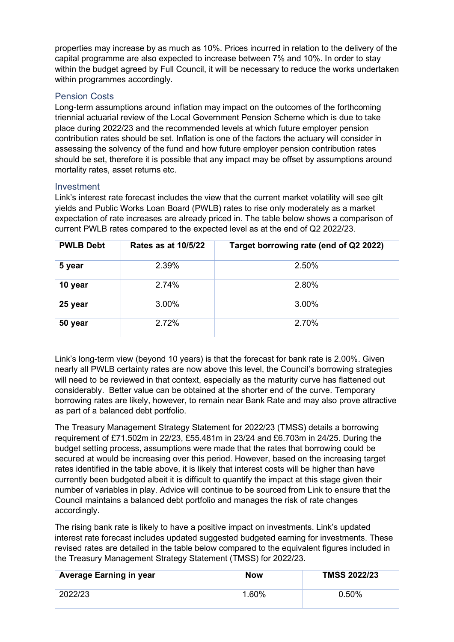properties may increase by as much as 10%. Prices incurred in relation to the delivery of the capital programme are also expected to increase between 7% and 10%. In order to stay within the budget agreed by Full Council, it will be necessary to reduce the works undertaken within programmes accordingly.

### Pension Costs

Long-term assumptions around inflation may impact on the outcomes of the forthcoming triennial actuarial review of the Local Government Pension Scheme which is due to take place during 2022/23 and the recommended levels at which future employer pension contribution rates should be set. Inflation is one of the factors the actuary will consider in assessing the solvency of the fund and how future employer pension contribution rates should be set, therefore it is possible that any impact may be offset by assumptions around mortality rates, asset returns etc.

### Investment

Link's interest rate forecast includes the view that the current market volatility will see gilt yields and Public Works Loan Board (PWLB) rates to rise only moderately as a market expectation of rate increases are already priced in. The table below shows a comparison of current PWLB rates compared to the expected level as at the end of Q2 2022/23.

| <b>PWLB Debt</b> | Rates as at 10/5/22 | Target borrowing rate (end of Q2 2022) |
|------------------|---------------------|----------------------------------------|
| 5 year           | 2.39%               | 2.50%                                  |
| 10 year          | 2.74%               | 2.80%                                  |
| 25 year          | 3.00%               | 3.00%                                  |
| 50 year          | 2.72%               | 2.70%                                  |

Link's long-term view (beyond 10 years) is that the forecast for bank rate is 2.00%. Given nearly all PWLB certainty rates are now above this level, the Council's borrowing strategies will need to be reviewed in that context, especially as the maturity curve has flattened out considerably. Better value can be obtained at the shorter end of the curve. Temporary borrowing rates are likely, however, to remain near Bank Rate and may also prove attractive as part of a balanced debt portfolio.

The Treasury Management Strategy Statement for 2022/23 (TMSS) details a borrowing requirement of £71.502m in 22/23, £55.481m in 23/24 and £6.703m in 24/25. During the budget setting process, assumptions were made that the rates that borrowing could be secured at would be increasing over this period. However, based on the increasing target rates identified in the table above, it is likely that interest costs will be higher than have currently been budgeted albeit it is difficult to quantify the impact at this stage given their number of variables in play. Advice will continue to be sourced from Link to ensure that the Council maintains a balanced debt portfolio and manages the risk of rate changes accordingly.

The rising bank rate is likely to have a positive impact on investments. Link's updated interest rate forecast includes updated suggested budgeted earning for investments. These revised rates are detailed in the table below compared to the equivalent figures included in the Treasury Management Strategy Statement (TMSS) for 2022/23.

| <b>Average Earning in year</b> | <b>Now</b> | <b>TMSS 2022/23</b> |
|--------------------------------|------------|---------------------|
| 2022/23                        | 1.60%      | 0.50%               |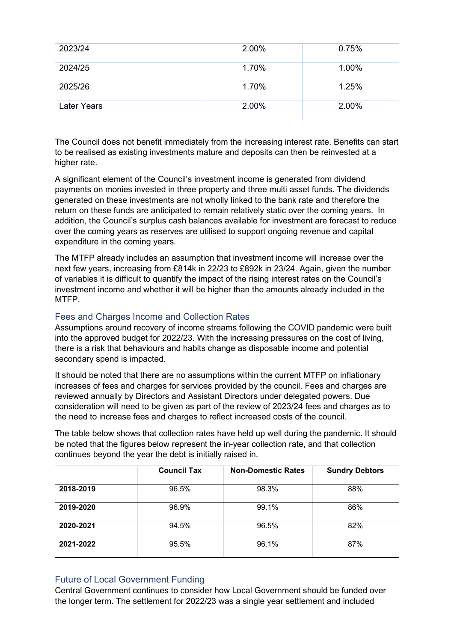| 2023/24            | 2.00% | 0.75% |
|--------------------|-------|-------|
| 2024/25            | 1.70% | 1.00% |
| 2025/26            | 1.70% | 1.25% |
| <b>Later Years</b> | 2.00% | 2.00% |

The Council does not benefit immediately from the increasing interest rate. Benefits can start to be realised as existing investments mature and deposits can then be reinvested at a higher rate.

A significant element of the Council's investment income is generated from dividend payments on monies invested in three property and three multi asset funds. The dividends generated on these investments are not wholly linked to the bank rate and therefore the return on these funds are anticipated to remain relatively static over the coming years. In addition, the Council's surplus cash balances available for investment are forecast to reduce over the coming years as reserves are utilised to support ongoing revenue and capital expenditure in the coming years.

The MTFP already includes an assumption that investment income will increase over the next few years, increasing from £814k in 22/23 to £892k in 23/24. Again, given the number of variables it is difficult to quantify the impact of the rising interest rates on the Council's investment income and whether it will be higher than the amounts already included in the MTFP.

### Fees and Charges Income and Collection Rates

Assumptions around recovery of income streams following the COVID pandemic were built into the approved budget for 2022/23. With the increasing pressures on the cost of living, there is a risk that behaviours and habits change as disposable income and potential secondary spend is impacted.

It should be noted that there are no assumptions within the current MTFP on inflationary increases of fees and charges for services provided by the council. Fees and charges are reviewed annually by Directors and Assistant Directors under delegated powers. Due consideration will need to be given as part of the review of 2023/24 fees and charges as to the need to increase fees and charges to reflect increased costs of the council.

The table below shows that collection rates have held up well during the pandemic. It should be noted that the figures below represent the in-year collection rate, and that collection continues beyond the year the debt is initially raised in.

|           | <b>Council Tax</b> | <b>Non-Domestic Rates</b> | <b>Sundry Debtors</b> |  |  |
|-----------|--------------------|---------------------------|-----------------------|--|--|
| 2018-2019 | 96.5%              | 98.3%                     | 88%                   |  |  |
| 2019-2020 | 96.9%              | 99.1%                     | 86%                   |  |  |
| 2020-2021 | 94.5%              | 96.5%                     | 82%                   |  |  |
| 2021-2022 | 95.5%              | 96.1%                     | 87%                   |  |  |

### Future of Local Government Funding

Central Government continues to consider how Local Government should be funded over the longer term. The settlement for 2022/23 was a single year settlement and included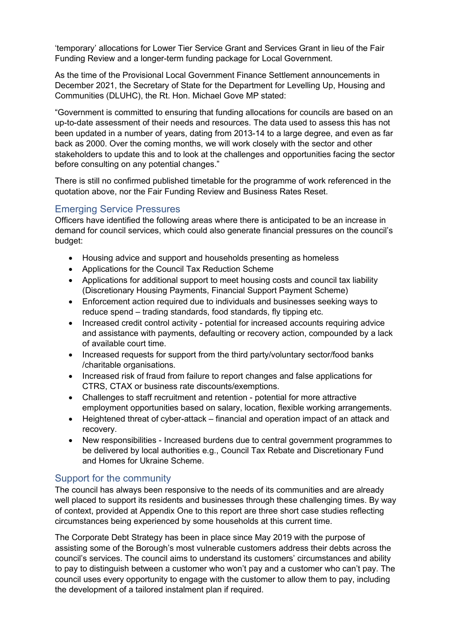'temporary' allocations for Lower Tier Service Grant and Services Grant in lieu of the Fair Funding Review and a longer-term funding package for Local Government.

As the time of the Provisional Local Government Finance Settlement announcements in December 2021, the Secretary of State for the Department for Levelling Up, Housing and Communities (DLUHC), the Rt. Hon. Michael Gove MP stated:

"Government is committed to ensuring that funding allocations for councils are based on an up-to-date assessment of their needs and resources. The data used to assess this has not been updated in a number of years, dating from 2013-14 to a large degree, and even as far back as 2000. Over the coming months, we will work closely with the sector and other stakeholders to update this and to look at the challenges and opportunities facing the sector before consulting on any potential changes."

There is still no confirmed published timetable for the programme of work referenced in the quotation above, nor the Fair Funding Review and Business Rates Reset.

# Emerging Service Pressures

Officers have identified the following areas where there is anticipated to be an increase in demand for council services, which could also generate financial pressures on the council's budget:

- Housing advice and support and households presenting as homeless
- Applications for the Council Tax Reduction Scheme
- Applications for additional support to meet housing costs and council tax liability (Discretionary Housing Payments, Financial Support Payment Scheme)
- Enforcement action required due to individuals and businesses seeking ways to reduce spend – trading standards, food standards, fly tipping etc.
- Increased credit control activity potential for increased accounts requiring advice and assistance with payments, defaulting or recovery action, compounded by a lack of available court time.
- Increased requests for support from the third party/voluntary sector/food banks /charitable organisations.
- Increased risk of fraud from failure to report changes and false applications for CTRS, CTAX or business rate discounts/exemptions.
- Challenges to staff recruitment and retention potential for more attractive employment opportunities based on salary, location, flexible working arrangements.
- Heightened threat of cyber-attack financial and operation impact of an attack and recovery.
- New responsibilities Increased burdens due to central government programmes to be delivered by local authorities e.g., Council Tax Rebate and Discretionary Fund and Homes for Ukraine Scheme.

# Support for the community

The council has always been responsive to the needs of its communities and are already well placed to support its residents and businesses through these challenging times. By way of context, provided at Appendix One to this report are three short case studies reflecting circumstances being experienced by some households at this current time.

The Corporate Debt Strategy has been in place since May 2019 with the purpose of assisting some of the Borough's most vulnerable customers address their debts across the council's services. The council aims to understand its customers' circumstances and ability to pay to distinguish between a customer who won't pay and a customer who can't pay. The council uses every opportunity to engage with the customer to allow them to pay, including the development of a tailored instalment plan if required.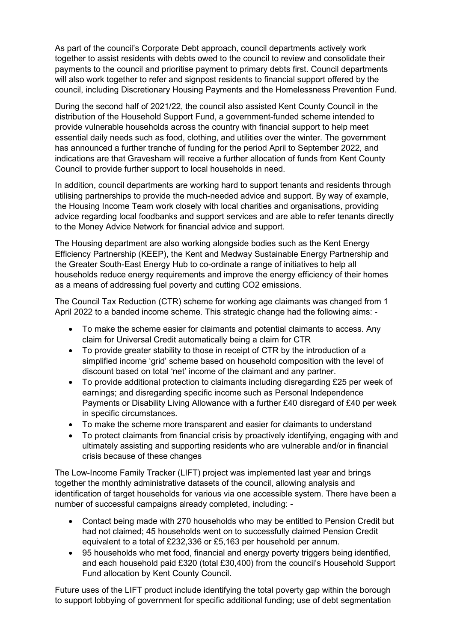As part of the council's Corporate Debt approach, council departments actively work together to assist residents with debts owed to the council to review and consolidate their payments to the council and prioritise payment to primary debts first. Council departments will also work together to refer and signpost residents to financial support offered by the council, including Discretionary Housing Payments and the Homelessness Prevention Fund.

During the second half of 2021/22, the council also assisted Kent County Council in the distribution of the Household Support Fund, a government-funded scheme intended to provide vulnerable households across the country with financial support to help meet essential daily needs such as food, clothing, and utilities over the winter. The government has announced a further tranche of funding for the period April to September 2022, and indications are that Gravesham will receive a further allocation of funds from Kent County Council to provide further support to local households in need.

In addition, council departments are working hard to support tenants and residents through utilising partnerships to provide the much-needed advice and support. By way of example, the Housing Income Team work closely with local charities and organisations, providing advice regarding local foodbanks and support services and are able to refer tenants directly to the Money Advice Network for financial advice and support.

The Housing department are also working alongside bodies such as the Kent Energy Efficiency Partnership (KEEP), the Kent and Medway Sustainable Energy Partnership and the Greater South-East Energy Hub to co-ordinate a range of initiatives to help all households reduce energy requirements and improve the energy efficiency of their homes as a means of addressing fuel poverty and cutting CO2 emissions.

The Council Tax Reduction (CTR) scheme for working age claimants was changed from 1 April 2022 to a banded income scheme. This strategic change had the following aims: -

- To make the scheme easier for claimants and potential claimants to access. Any claim for Universal Credit automatically being a claim for CTR
- To provide greater stability to those in receipt of CTR by the introduction of a simplified income 'grid' scheme based on household composition with the level of discount based on total 'net' income of the claimant and any partner.
- To provide additional protection to claimants including disregarding £25 per week of earnings; and disregarding specific income such as Personal Independence Payments or Disability Living Allowance with a further £40 disregard of £40 per week in specific circumstances.
- To make the scheme more transparent and easier for claimants to understand
- To protect claimants from financial crisis by proactively identifying, engaging with and ultimately assisting and supporting residents who are vulnerable and/or in financial crisis because of these changes

The Low-Income Family Tracker (LIFT) project was implemented last year and brings together the monthly administrative datasets of the council, allowing analysis and identification of target households for various via one accessible system. There have been a number of successful campaigns already completed, including: -

- Contact being made with 270 households who may be entitled to Pension Credit but had not claimed; 45 households went on to successfully claimed Pension Credit equivalent to a total of £232,336 or £5,163 per household per annum.
- 95 households who met food, financial and energy poverty triggers being identified, and each household paid £320 (total £30,400) from the council's Household Support Fund allocation by Kent County Council.

Future uses of the LIFT product include identifying the total poverty gap within the borough to support lobbying of government for specific additional funding; use of debt segmentation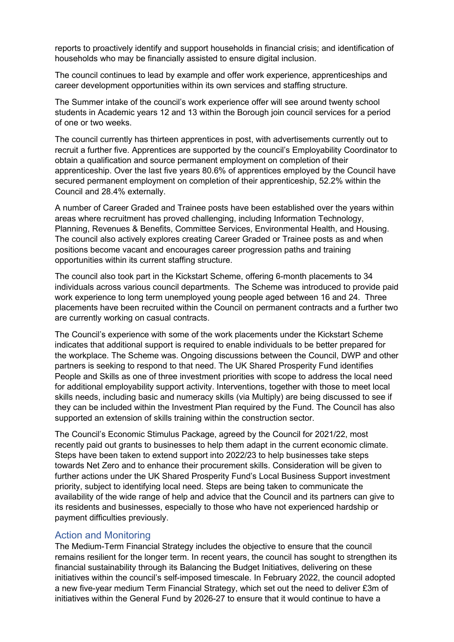reports to proactively identify and support households in financial crisis; and identification of households who may be financially assisted to ensure digital inclusion.

The council continues to lead by example and offer work experience, apprenticeships and career development opportunities within its own services and staffing structure.

The Summer intake of the council's work experience offer will see around twenty school students in Academic years 12 and 13 within the Borough join council services for a period of one or two weeks.

The council currently has thirteen apprentices in post, with advertisements currently out to recruit a further five. Apprentices are supported by the council's Employability Coordinator to obtain a qualification and source permanent employment on completion of their apprenticeship. Over the last five years 80.6% of apprentices employed by the Council have secured permanent employment on completion of their apprenticeship, 52.2% within the Council and 28.4% externally.

A number of Career Graded and Trainee posts have been established over the years within areas where recruitment has proved challenging, including Information Technology, Planning, Revenues & Benefits, Committee Services, Environmental Health, and Housing. The council also actively explores creating Career Graded or Trainee posts as and when positions become vacant and encourages career progression paths and training opportunities within its current staffing structure.

The council also took part in the Kickstart Scheme, offering 6-month placements to 34 individuals across various council departments. The Scheme was introduced to provide paid work experience to long term unemployed young people aged between 16 and 24. Three placements have been recruited within the Council on permanent contracts and a further two are currently working on casual contracts.

The Council's experience with some of the work placements under the Kickstart Scheme indicates that additional support is required to enable individuals to be better prepared for the workplace. The Scheme was. Ongoing discussions between the Council, DWP and other partners is seeking to respond to that need. The UK Shared Prosperity Fund identifies People and Skills as one of three investment priorities with scope to address the local need for additional employability support activity. Interventions, together with those to meet local skills needs, including basic and numeracy skills (via Multiply) are being discussed to see if they can be included within the Investment Plan required by the Fund. The Council has also supported an extension of skills training within the construction sector.

The Council's Economic Stimulus Package, agreed by the Council for 2021/22, most recently paid out grants to businesses to help them adapt in the current economic climate. Steps have been taken to extend support into 2022/23 to help businesses take steps towards Net Zero and to enhance their procurement skills. Consideration will be given to further actions under the UK Shared Prosperity Fund's Local Business Support investment priority, subject to identifying local need. Steps are being taken to communicate the availability of the wide range of help and advice that the Council and its partners can give to its residents and businesses, especially to those who have not experienced hardship or payment difficulties previously.

### Action and Monitoring

The Medium-Term Financial Strategy includes the objective to ensure that the council remains resilient for the longer term. In recent years, the council has sought to strengthen its financial sustainability through its Balancing the Budget Initiatives, delivering on these initiatives within the council's self-imposed timescale. In February 2022, the council adopted a new five-year medium Term Financial Strategy, which set out the need to deliver £3m of initiatives within the General Fund by 2026-27 to ensure that it would continue to have a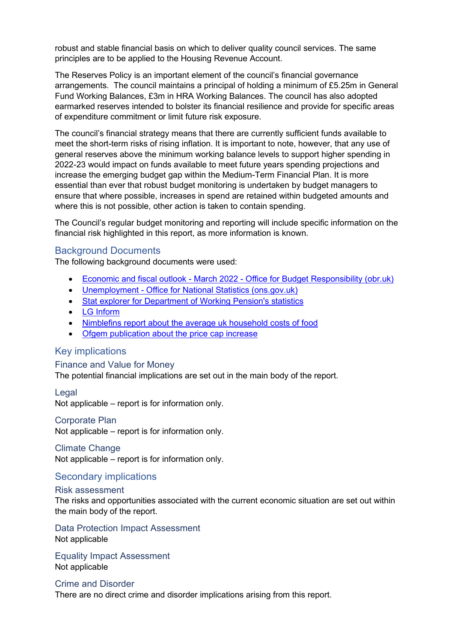robust and stable financial basis on which to deliver quality council services. The same principles are to be applied to the Housing Revenue Account.

The Reserves Policy is an important element of the council's financial governance arrangements. The council maintains a principal of holding a minimum of £5.25m in General Fund Working Balances, £3m in HRA Working Balances. The council has also adopted earmarked reserves intended to bolster its financial resilience and provide for specific areas of expenditure commitment or limit future risk exposure.

The council's financial strategy means that there are currently sufficient funds available to meet the short-term risks of rising inflation. It is important to note, however, that any use of general reserves above the minimum working balance levels to support higher spending in 2022-23 would impact on funds available to meet future years spending projections and increase the emerging budget gap within the Medium-Term Financial Plan. It is more essential than ever that robust budget monitoring is undertaken by budget managers to ensure that where possible, increases in spend are retained within budgeted amounts and where this is not possible, other action is taken to contain spending.

The Council's regular budget monitoring and reporting will include specific information on the financial risk highlighted in this report, as more information is known.

### Background Documents

The following background documents were used:

- [Economic and fiscal outlook March 2022 Office for Budget Responsibility \(obr.uk\)](https://obr.uk/efo/economic-and-fiscal-outlook-march-2022/)
- Unemployment Office [for National Statistics \(ons.gov.uk\)](https://www.ons.gov.uk/employmentandlabourmarket/peoplenotinwork/unemployment)
- [Stat explorer for Department of Working Pension's statistics](https://stat-xplore.dwp.gov.uk/webapi/jsf/dataCatalogueExplorer.xhtml)
- [LG Inform](https://lginform.local.gov.uk/)
- [Nimblefins report about the average uk household costs of food](https://www.nimblefins.co.uk/average-uk-household-cost-food)
- [Ofgem publication about the price cap increase](https://www.ofgem.gov.uk/publications/price-cap-increase-ps693-april)

### Key implications

Finance and Value for Money The potential financial implications are set out in the main body of the report.

#### Legal

Not applicable – report is for information only.

#### Corporate Plan

Not applicable – report is for information only.

#### Climate Change

Not applicable – report is for information only.

### Secondary implications

#### Risk assessment

The risks and opportunities associated with the current economic situation are set out within the main body of the report.

Data Protection Impact Assessment Not applicable

Equality Impact Assessment Not applicable

Crime and Disorder There are no direct crime and disorder implications arising from this report.